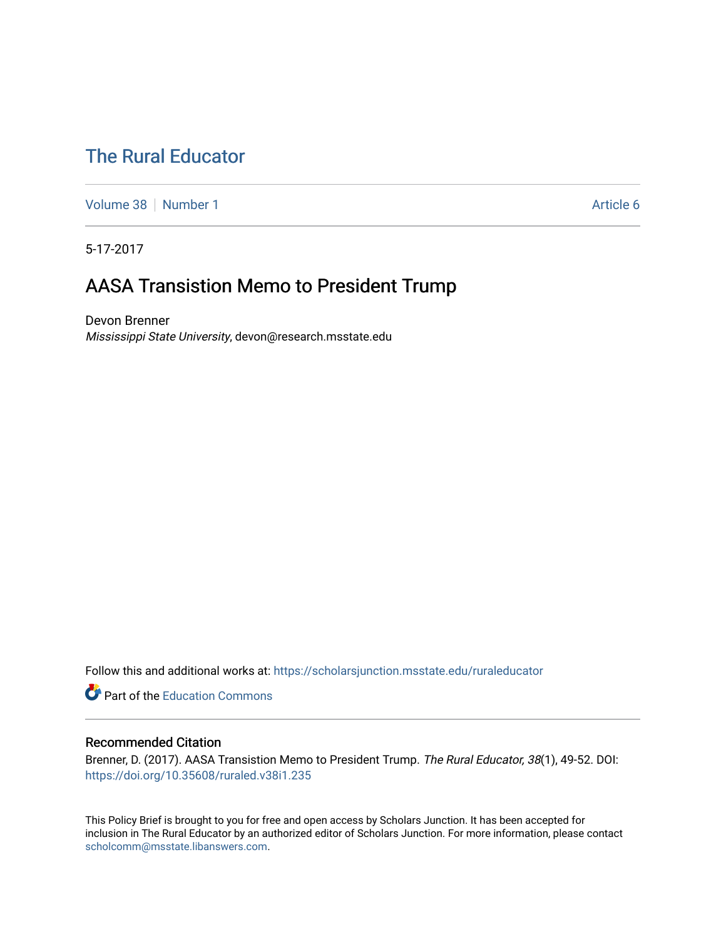# [The Rural Educator](https://scholarsjunction.msstate.edu/ruraleducator)

[Volume 38](https://scholarsjunction.msstate.edu/ruraleducator/vol38) [Number 1](https://scholarsjunction.msstate.edu/ruraleducator/vol38/iss1) Article 6

5-17-2017

# AASA Transistion Memo to President Trump

Devon Brenner Mississippi State University, devon@research.msstate.edu

Follow this and additional works at: [https://scholarsjunction.msstate.edu/ruraleducator](https://scholarsjunction.msstate.edu/ruraleducator?utm_source=scholarsjunction.msstate.edu%2Fruraleducator%2Fvol38%2Fiss1%2F6&utm_medium=PDF&utm_campaign=PDFCoverPages)

**Part of the [Education Commons](http://network.bepress.com/hgg/discipline/784?utm_source=scholarsjunction.msstate.edu%2Fruraleducator%2Fvol38%2Fiss1%2F6&utm_medium=PDF&utm_campaign=PDFCoverPages)** 

# Recommended Citation

Brenner, D. (2017). AASA Transistion Memo to President Trump. The Rural Educator, 38(1), 49-52. DOI: <https://doi.org/10.35608/ruraled.v38i1.235>

This Policy Brief is brought to you for free and open access by Scholars Junction. It has been accepted for inclusion in The Rural Educator by an authorized editor of Scholars Junction. For more information, please contact [scholcomm@msstate.libanswers.com.](mailto:scholcomm@msstate.libanswers.com)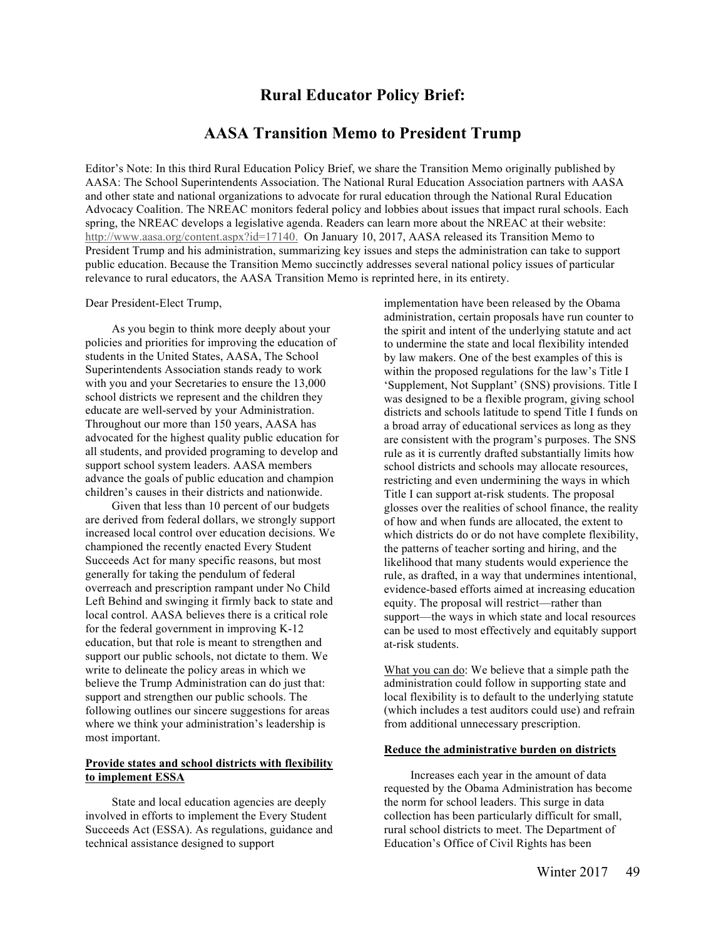# **Rural Educator Policy Brief:**

# **AASA Transition Memo to President Trump**

Editor's Note: In this third Rural Education Policy Brief, we share the Transition Memo originally published by AASA: The School Superintendents Association. The National Rural Education Association partners with AASA and other state and national organizations to advocate for rural education through the National Rural Education Advocacy Coalition. The NREAC monitors federal policy and lobbies about issues that impact rural schools. Each spring, the NREAC develops a legislative agenda. Readers can learn more about the NREAC at their website: http://www.aasa.org/content.aspx?id=17140. On January 10, 2017, AASA released its Transition Memo to President Trump and his administration, summarizing key issues and steps the administration can take to support public education. Because the Transition Memo succinctly addresses several national policy issues of particular relevance to rural educators, the AASA Transition Memo is reprinted here, in its entirety.

#### Dear President-Elect Trump,

As you begin to think more deeply about your policies and priorities for improving the education of students in the United States, AASA, The School Superintendents Association stands ready to work with you and your Secretaries to ensure the 13,000 school districts we represent and the children they educate are well-served by your Administration. Throughout our more than 150 years, AASA has advocated for the highest quality public education for all students, and provided programing to develop and support school system leaders. AASA members advance the goals of public education and champion children's causes in their districts and nationwide.

Given that less than 10 percent of our budgets are derived from federal dollars, we strongly support increased local control over education decisions. We championed the recently enacted Every Student Succeeds Act for many specific reasons, but most generally for taking the pendulum of federal overreach and prescription rampant under No Child Left Behind and swinging it firmly back to state and local control. AASA believes there is a critical role for the federal government in improving K-12 education, but that role is meant to strengthen and support our public schools, not dictate to them. We write to delineate the policy areas in which we believe the Trump Administration can do just that: support and strengthen our public schools. The following outlines our sincere suggestions for areas where we think your administration's leadership is most important.

## **Provide states and school districts with flexibility to implement ESSA**

State and local education agencies are deeply involved in efforts to implement the Every Student Succeeds Act (ESSA). As regulations, guidance and technical assistance designed to support

implementation have been released by the Obama administration, certain proposals have run counter to the spirit and intent of the underlying statute and act to undermine the state and local flexibility intended by law makers. One of the best examples of this is within the proposed regulations for the law's Title I 'Supplement, Not Supplant' (SNS) provisions. Title I was designed to be a flexible program, giving school districts and schools latitude to spend Title I funds on a broad array of educational services as long as they are consistent with the program's purposes. The SNS rule as it is currently drafted substantially limits how school districts and schools may allocate resources, restricting and even undermining the ways in which Title I can support at-risk students. The proposal glosses over the realities of school finance, the reality of how and when funds are allocated, the extent to which districts do or do not have complete flexibility, the patterns of teacher sorting and hiring, and the likelihood that many students would experience the rule, as drafted, in a way that undermines intentional, evidence-based efforts aimed at increasing education equity. The proposal will restrict—rather than support—the ways in which state and local resources can be used to most effectively and equitably support at-risk students.

What you can do: We believe that a simple path the administration could follow in supporting state and local flexibility is to default to the underlying statute (which includes a test auditors could use) and refrain from additional unnecessary prescription.

### **Reduce the administrative burden on districts**

Increases each year in the amount of data requested by the Obama Administration has become the norm for school leaders. This surge in data collection has been particularly difficult for small, rural school districts to meet. The Department of Education's Office of Civil Rights has been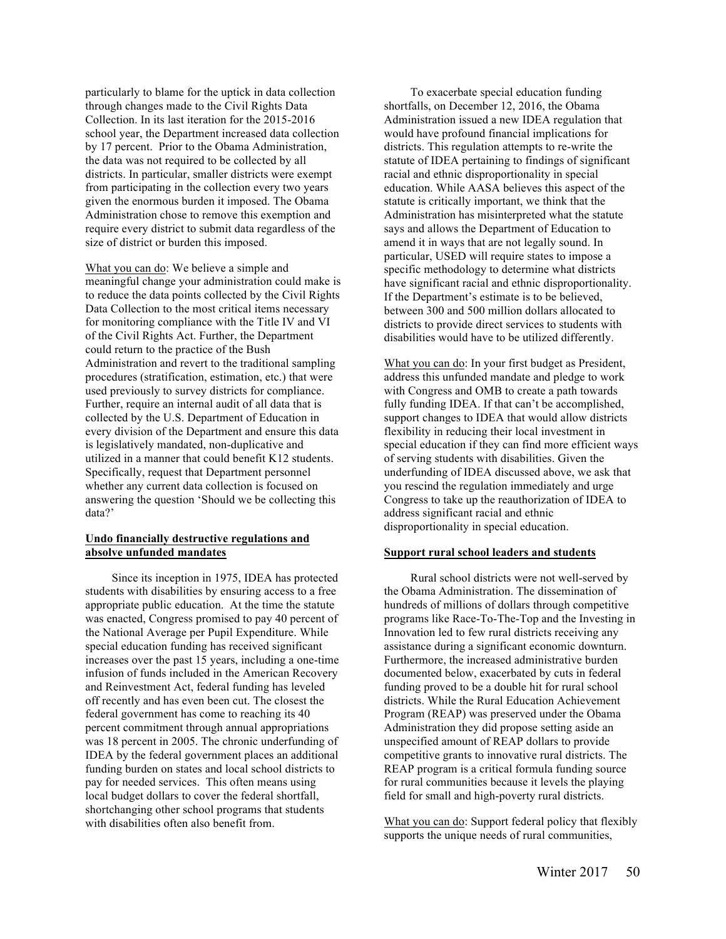particularly to blame for the uptick in data collection through changes made to the Civil Rights Data Collection. In its last iteration for the 2015-2016 school year, the Department increased data collection by 17 percent. Prior to the Obama Administration, the data was not required to be collected by all districts. In particular, smaller districts were exempt from participating in the collection every two years given the enormous burden it imposed. The Obama Administration chose to remove this exemption and require every district to submit data regardless of the size of district or burden this imposed.

What you can do: We believe a simple and meaningful change your administration could make is to reduce the data points collected by the Civil Rights Data Collection to the most critical items necessary for monitoring compliance with the Title IV and VI of the Civil Rights Act. Further, the Department could return to the practice of the Bush Administration and revert to the traditional sampling procedures (stratification, estimation, etc.) that were used previously to survey districts for compliance. Further, require an internal audit of all data that is collected by the U.S. Department of Education in every division of the Department and ensure this data is legislatively mandated, non-duplicative and utilized in a manner that could benefit K12 students. Specifically, request that Department personnel whether any current data collection is focused on answering the question 'Should we be collecting this data?'

# **Undo financially destructive regulations and absolve unfunded mandates**

Since its inception in 1975, IDEA has protected students with disabilities by ensuring access to a free appropriate public education. At the time the statute was enacted, Congress promised to pay 40 percent of the National Average per Pupil Expenditure. While special education funding has received significant increases over the past 15 years, including a one-time infusion of funds included in the American Recovery and Reinvestment Act, federal funding has leveled off recently and has even been cut. The closest the federal government has come to reaching its 40 percent commitment through annual appropriations was 18 percent in 2005. The chronic underfunding of IDEA by the federal government places an additional funding burden on states and local school districts to pay for needed services. This often means using local budget dollars to cover the federal shortfall, shortchanging other school programs that students with disabilities often also benefit from.

To exacerbate special education funding shortfalls, on December 12, 2016, the Obama Administration issued a new IDEA regulation that would have profound financial implications for districts. This regulation attempts to re-write the statute of IDEA pertaining to findings of significant racial and ethnic disproportionality in special education. While AASA believes this aspect of the statute is critically important, we think that the Administration has misinterpreted what the statute says and allows the Department of Education to amend it in ways that are not legally sound. In particular, USED will require states to impose a specific methodology to determine what districts have significant racial and ethnic disproportionality. If the Department's estimate is to be believed, between 300 and 500 million dollars allocated to districts to provide direct services to students with disabilities would have to be utilized differently.

What you can do: In your first budget as President, address this unfunded mandate and pledge to work with Congress and OMB to create a path towards fully funding IDEA. If that can't be accomplished, support changes to IDEA that would allow districts flexibility in reducing their local investment in special education if they can find more efficient ways of serving students with disabilities. Given the underfunding of IDEA discussed above, we ask that you rescind the regulation immediately and urge Congress to take up the reauthorization of IDEA to address significant racial and ethnic disproportionality in special education.

## **Support rural school leaders and students**

Rural school districts were not well-served by the Obama Administration. The dissemination of hundreds of millions of dollars through competitive programs like Race-To-The-Top and the Investing in Innovation led to few rural districts receiving any assistance during a significant economic downturn. Furthermore, the increased administrative burden documented below, exacerbated by cuts in federal funding proved to be a double hit for rural school districts. While the Rural Education Achievement Program (REAP) was preserved under the Obama Administration they did propose setting aside an unspecified amount of REAP dollars to provide competitive grants to innovative rural districts. The REAP program is a critical formula funding source for rural communities because it levels the playing field for small and high-poverty rural districts.

What you can do: Support federal policy that flexibly supports the unique needs of rural communities,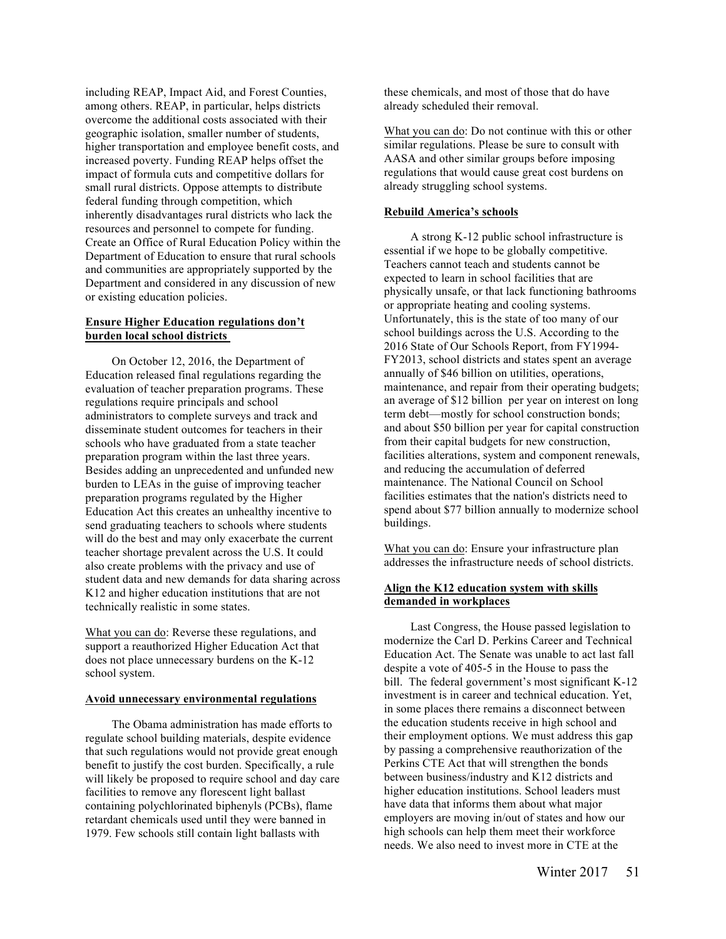including REAP, Impact Aid, and Forest Counties, among others. REAP, in particular, helps districts overcome the additional costs associated with their geographic isolation, smaller number of students, higher transportation and employee benefit costs, and increased poverty. Funding REAP helps offset the impact of formula cuts and competitive dollars for small rural districts. Oppose attempts to distribute federal funding through competition, which inherently disadvantages rural districts who lack the resources and personnel to compete for funding. Create an Office of Rural Education Policy within the Department of Education to ensure that rural schools and communities are appropriately supported by the Department and considered in any discussion of new or existing education policies.

## **Ensure Higher Education regulations don't burden local school districts**

On October 12, 2016, the Department of Education released final regulations regarding the evaluation of teacher preparation programs. These regulations require principals and school administrators to complete surveys and track and disseminate student outcomes for teachers in their schools who have graduated from a state teacher preparation program within the last three years. Besides adding an unprecedented and unfunded new burden to LEAs in the guise of improving teacher preparation programs regulated by the Higher Education Act this creates an unhealthy incentive to send graduating teachers to schools where students will do the best and may only exacerbate the current teacher shortage prevalent across the U.S. It could also create problems with the privacy and use of student data and new demands for data sharing across K12 and higher education institutions that are not technically realistic in some states.

What you can do: Reverse these regulations, and support a reauthorized Higher Education Act that does not place unnecessary burdens on the K-12 school system.

# **Avoid unnecessary environmental regulations**

The Obama administration has made efforts to regulate school building materials, despite evidence that such regulations would not provide great enough benefit to justify the cost burden. Specifically, a rule will likely be proposed to require school and day care facilities to remove any florescent light ballast containing polychlorinated biphenyls (PCBs), flame retardant chemicals used until they were banned in 1979. Few schools still contain light ballasts with

these chemicals, and most of those that do have already scheduled their removal.

What you can do: Do not continue with this or other similar regulations. Please be sure to consult with AASA and other similar groups before imposing regulations that would cause great cost burdens on already struggling school systems.

#### **Rebuild America's schools**

A strong K-12 public school infrastructure is essential if we hope to be globally competitive. Teachers cannot teach and students cannot be expected to learn in school facilities that are physically unsafe, or that lack functioning bathrooms or appropriate heating and cooling systems. Unfortunately, this is the state of too many of our school buildings across the U.S. According to the 2016 State of Our Schools Report, from FY1994- FY2013, school districts and states spent an average annually of \$46 billion on utilities, operations, maintenance, and repair from their operating budgets; an average of \$12 billion per year on interest on long term debt—mostly for school construction bonds; and about \$50 billion per year for capital construction from their capital budgets for new construction, facilities alterations, system and component renewals, and reducing the accumulation of deferred maintenance. The National Council on School facilities estimates that the nation's districts need to spend about \$77 billion annually to modernize school buildings.

What you can do: Ensure your infrastructure plan addresses the infrastructure needs of school districts.

## **Align the K12 education system with skills demanded in workplaces**

Last Congress, the House passed legislation to modernize the Carl D. Perkins Career and Technical Education Act. The Senate was unable to act last fall despite a vote of 405-5 in the House to pass the bill. The federal government's most significant K-12 investment is in career and technical education. Yet, in some places there remains a disconnect between the education students receive in high school and their employment options. We must address this gap by passing a comprehensive reauthorization of the Perkins CTE Act that will strengthen the bonds between business/industry and K12 districts and higher education institutions. School leaders must have data that informs them about what major employers are moving in/out of states and how our high schools can help them meet their workforce needs. We also need to invest more in CTE at the